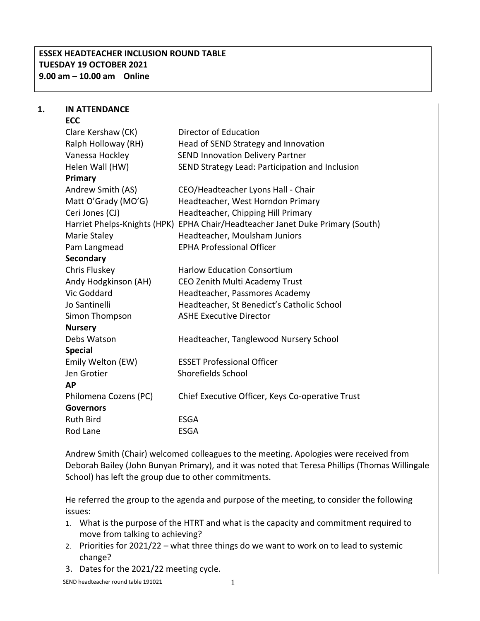## **ESSEX HEADTEACHER INCLUSION ROUND TABLE TUESDAY 19 OCTOBER 2021 9.00 am – 10.00 am Online**

# **1. IN ATTENDANCE**

| <b>ECC</b>                   |                                                   |
|------------------------------|---------------------------------------------------|
| Clare Kershaw (CK)           | Director of Education                             |
| Ralph Holloway (RH)          | Head of SEND Strategy and Innovation              |
| Vanessa Hockley              | <b>SEND Innovation Delivery Partner</b>           |
| Helen Wall (HW)              | SEND Strategy Lead: Participation and Inclusion   |
| Primary                      |                                                   |
| Andrew Smith (AS)            | CEO/Headteacher Lyons Hall - Chair                |
| Matt O'Grady (MO'G)          | Headteacher, West Horndon Primary                 |
| Ceri Jones (CJ)              | Headteacher, Chipping Hill Primary                |
| Harriet Phelps-Knights (HPK) | EPHA Chair/Headteacher Janet Duke Primary (South) |
| Marie Staley                 | Headteacher, Moulsham Juniors                     |
| Pam Langmead                 | <b>EPHA Professional Officer</b>                  |
| <b>Secondary</b>             |                                                   |
| Chris Fluskey                | <b>Harlow Education Consortium</b>                |
| Andy Hodgkinson (AH)         | CEO Zenith Multi Academy Trust                    |
| Vic Goddard                  | Headteacher, Passmores Academy                    |
| Jo Santinelli                | Headteacher, St Benedict's Catholic School        |
| Simon Thompson               | <b>ASHE Executive Director</b>                    |
| <b>Nursery</b>               |                                                   |
| Debs Watson                  | Headteacher, Tanglewood Nursery School            |
| <b>Special</b>               |                                                   |
| Emily Welton (EW)            | <b>ESSET Professional Officer</b>                 |
| Jen Grotier                  | Shorefields School                                |
| <b>AP</b>                    |                                                   |
| Philomena Cozens (PC)        | Chief Executive Officer, Keys Co-operative Trust  |
| <b>Governors</b>             |                                                   |
| <b>Ruth Bird</b>             | <b>ESGA</b>                                       |
| Rod Lane                     | <b>ESGA</b>                                       |

Andrew Smith (Chair) welcomed colleagues to the meeting. Apologies were received from Deborah Bailey (John Bunyan Primary), and it was noted that Teresa Phillips (Thomas Willingale School) has left the group due to other commitments.

He referred the group to the agenda and purpose of the meeting, to consider the following issues:

- 1. What is the purpose of the HTRT and what is the capacity and commitment required to move from talking to achieving?
- 2. Priorities for 2021/22 what three things do we want to work on to lead to systemic change?
- 3. Dates for the 2021/22 meeting cycle.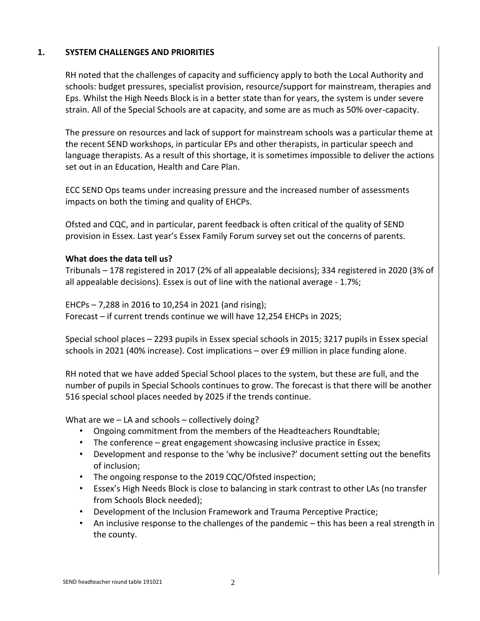#### **1. SYSTEM CHALLENGES AND PRIORITIES**

RH noted that the challenges of capacity and sufficiency apply to both the Local Authority and schools: budget pressures, specialist provision, resource/support for mainstream, therapies and Eps. Whilst the High Needs Block is in a better state than for years, the system is under severe strain. All of the Special Schools are at capacity, and some are as much as 50% over-capacity.

The pressure on resources and lack of support for mainstream schools was a particular theme at the recent SEND workshops, in particular EPs and other therapists, in particular speech and language therapists. As a result of this shortage, it is sometimes impossible to deliver the actions set out in an Education, Health and Care Plan.

ECC SEND Ops teams under increasing pressure and the increased number of assessments impacts on both the timing and quality of EHCPs.

Ofsted and CQC, and in particular, parent feedback is often critical of the quality of SEND provision in Essex. Last year's Essex Family Forum survey set out the concerns of parents.

#### **What does the data tell us?**

Tribunals – 178 registered in 2017 (2% of all appealable decisions); 334 registered in 2020 (3% of all appealable decisions). Essex is out of line with the national average - 1.7%;

EHCPs – 7,288 in 2016 to 10,254 in 2021 (and rising); Forecast – if current trends continue we will have 12,254 EHCPs in 2025;

Special school places – 2293 pupils in Essex special schools in 2015; 3217 pupils in Essex special schools in 2021 (40% increase). Cost implications – over £9 million in place funding alone.

RH noted that we have added Special School places to the system, but these are full, and the number of pupils in Special Schools continues to grow. The forecast is that there will be another 516 special school places needed by 2025 if the trends continue.

What are we – LA and schools – collectively doing?

- Ongoing commitment from the members of the Headteachers Roundtable;
- The conference great engagement showcasing inclusive practice in Essex;
- Development and response to the 'why be inclusive?' document setting out the benefits of inclusion;
- The ongoing response to the 2019 CQC/Ofsted inspection;
- Essex's High Needs Block is close to balancing in stark contrast to other LAs (no transfer from Schools Block needed);
- Development of the Inclusion Framework and Trauma Perceptive Practice;
- An inclusive response to the challenges of the pandemic this has been a real strength in the county.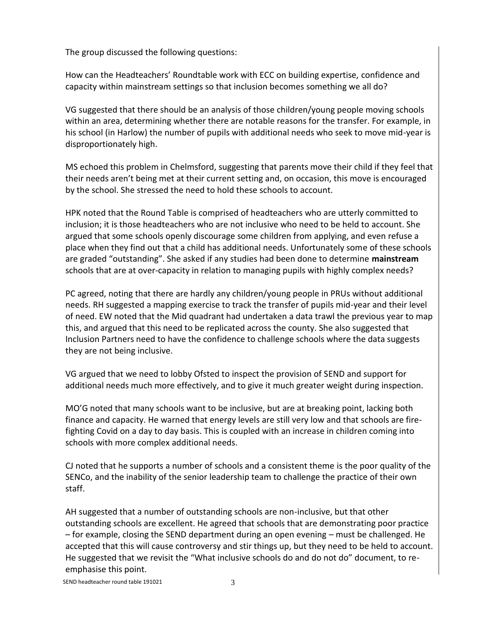The group discussed the following questions:

How can the Headteachers' Roundtable work with ECC on building expertise, confidence and capacity within mainstream settings so that inclusion becomes something we all do?

VG suggested that there should be an analysis of those children/young people moving schools within an area, determining whether there are notable reasons for the transfer. For example, in his school (in Harlow) the number of pupils with additional needs who seek to move mid-year is disproportionately high.

MS echoed this problem in Chelmsford, suggesting that parents move their child if they feel that their needs aren't being met at their current setting and, on occasion, this move is encouraged by the school. She stressed the need to hold these schools to account.

HPK noted that the Round Table is comprised of headteachers who are utterly committed to inclusion; it is those headteachers who are not inclusive who need to be held to account. She argued that some schools openly discourage some children from applying, and even refuse a place when they find out that a child has additional needs. Unfortunately some of these schools are graded "outstanding". She asked if any studies had been done to determine **mainstream** schools that are at over-capacity in relation to managing pupils with highly complex needs?

PC agreed, noting that there are hardly any children/young people in PRUs without additional needs. RH suggested a mapping exercise to track the transfer of pupils mid-year and their level of need. EW noted that the Mid quadrant had undertaken a data trawl the previous year to map this, and argued that this need to be replicated across the county. She also suggested that Inclusion Partners need to have the confidence to challenge schools where the data suggests they are not being inclusive.

VG argued that we need to lobby Ofsted to inspect the provision of SEND and support for additional needs much more effectively, and to give it much greater weight during inspection.

MO'G noted that many schools want to be inclusive, but are at breaking point, lacking both finance and capacity. He warned that energy levels are still very low and that schools are firefighting Covid on a day to day basis. This is coupled with an increase in children coming into schools with more complex additional needs.

CJ noted that he supports a number of schools and a consistent theme is the poor quality of the SENCo, and the inability of the senior leadership team to challenge the practice of their own staff.

AH suggested that a number of outstanding schools are non-inclusive, but that other outstanding schools are excellent. He agreed that schools that are demonstrating poor practice – for example, closing the SEND department during an open evening – must be challenged. He accepted that this will cause controversy and stir things up, but they need to be held to account. He suggested that we revisit the "What inclusive schools do and do not do" document, to reemphasise this point.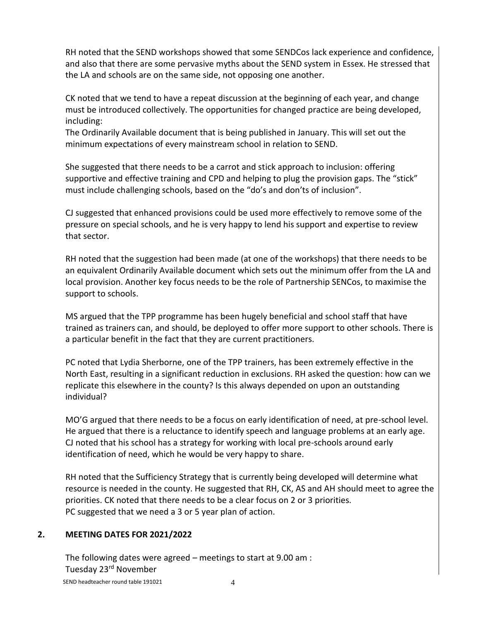RH noted that the SEND workshops showed that some SENDCos lack experience and confidence, and also that there are some pervasive myths about the SEND system in Essex. He stressed that the LA and schools are on the same side, not opposing one another.

CK noted that we tend to have a repeat discussion at the beginning of each year, and change must be introduced collectively. The opportunities for changed practice are being developed, including:

The Ordinarily Available document that is being published in January. This will set out the minimum expectations of every mainstream school in relation to SEND.

She suggested that there needs to be a carrot and stick approach to inclusion: offering supportive and effective training and CPD and helping to plug the provision gaps. The "stick" must include challenging schools, based on the "do's and don'ts of inclusion".

CJ suggested that enhanced provisions could be used more effectively to remove some of the pressure on special schools, and he is very happy to lend his support and expertise to review that sector.

RH noted that the suggestion had been made (at one of the workshops) that there needs to be an equivalent Ordinarily Available document which sets out the minimum offer from the LA and local provision. Another key focus needs to be the role of Partnership SENCos, to maximise the support to schools.

MS argued that the TPP programme has been hugely beneficial and school staff that have trained as trainers can, and should, be deployed to offer more support to other schools. There is a particular benefit in the fact that they are current practitioners.

PC noted that Lydia Sherborne, one of the TPP trainers, has been extremely effective in the North East, resulting in a significant reduction in exclusions. RH asked the question: how can we replicate this elsewhere in the county? Is this always depended on upon an outstanding individual?

MO'G argued that there needs to be a focus on early identification of need, at pre-school level. He argued that there is a reluctance to identify speech and language problems at an early age. CJ noted that his school has a strategy for working with local pre-schools around early identification of need, which he would be very happy to share.

RH noted that the Sufficiency Strategy that is currently being developed will determine what resource is needed in the county. He suggested that RH, CK, AS and AH should meet to agree the priorities. CK noted that there needs to be a clear focus on 2 or 3 priorities. PC suggested that we need a 3 or 5 year plan of action.

### **2. MEETING DATES FOR 2021/2022**

The following dates were agreed – meetings to start at 9.00 am : Tuesday 23rd November